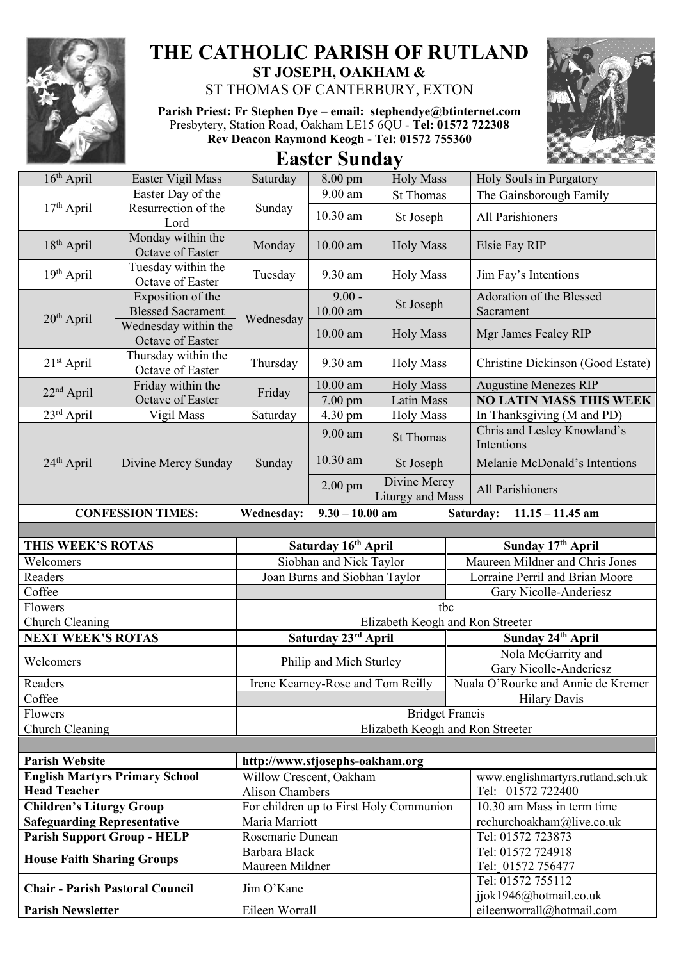

## **THE CATHOLIC PARISH OF RUTLAND ST JOSEPH, OAKHAM &**  ST THOMAS OF CANTERBURY, EXTON

**Parish Priest: Fr Stephen Dye** – **[email: stephendye@btinternet.com](mailto:email:%20%20stephendye@btinternet.com)** Presbytery, Station Road, Oakham LE15 6QU - **Tel: 01572 722308 Rev Deacon Raymond Keogh - Tel: 01572 755360**



**Easter Sunday**

| $16th$ April                           | Easter Vigil Mass                                                     | Saturday                                                   | 8.00 pm                | <b>Holy Mass</b>                        | Holy Souls in Purgatory                                                 |
|----------------------------------------|-----------------------------------------------------------------------|------------------------------------------------------------|------------------------|-----------------------------------------|-------------------------------------------------------------------------|
|                                        | Easter Day of the                                                     |                                                            | 9.00 am                | <b>St Thomas</b>                        | The Gainsborough Family                                                 |
| $17th$ April                           | Resurrection of the<br>Lord                                           | Sunday                                                     | $10.30$ am             | St Joseph                               | All Parishioners                                                        |
| $18th$ April                           | Monday within the<br>Octave of Easter                                 | Monday                                                     | $10.00$ am             | <b>Holy Mass</b>                        | Elsie Fay RIP                                                           |
| $19th$ April                           | Tuesday within the<br>Octave of Easter                                | Tuesday                                                    | 9.30 am                | <b>Holy Mass</b>                        | Jim Fay's Intentions                                                    |
| 20 <sup>th</sup> April                 | Exposition of the<br><b>Blessed Sacrament</b><br>Wednesday within the | Wednesday                                                  | $9.00 -$<br>$10.00$ am | St Joseph                               | Adoration of the Blessed<br>Sacrament                                   |
|                                        | Octave of Easter                                                      |                                                            | $10.00$ am             | <b>Holy Mass</b>                        | Mgr James Fealey RIP                                                    |
| $21st$ April                           | Thursday within the<br>Octave of Easter                               | Thursday                                                   | 9.30 am                | <b>Holy Mass</b>                        | Christine Dickinson (Good Estate)                                       |
| $22nd$ April                           | Friday within the                                                     | Friday                                                     | $10.00$ am             | <b>Holy Mass</b>                        | <b>Augustine Menezes RIP</b>                                            |
|                                        | Octave of Easter                                                      |                                                            | 7.00 pm                | <b>Latin Mass</b>                       | <b>NO LATIN MASS THIS WEEK</b>                                          |
| $23rd$ April<br>24 <sup>th</sup> April | Vigil Mass<br>Divine Mercy Sunday                                     | Saturday<br>Sunday                                         | 4.30 pm<br>$9.00$ am   | <b>Holy Mass</b><br><b>St Thomas</b>    | In Thanksgiving (M and PD)<br>Chris and Lesley Knowland's<br>Intentions |
|                                        |                                                                       |                                                            | $10.30$ am             | St Joseph                               | Melanie McDonald's Intentions                                           |
|                                        |                                                                       |                                                            | $2.00$ pm              | Divine Mercy<br>Liturgy and Mass        | All Parishioners                                                        |
|                                        | <b>CONFESSION TIMES:</b>                                              | <b>Wednesday:</b>                                          | $9.30 - 10.00$ am      |                                         | $11.15 - 11.45$ am<br>Saturday:                                         |
|                                        |                                                                       |                                                            |                        |                                         |                                                                         |
| THIS WEEK'S ROTAS                      |                                                                       | Saturday 16th April                                        |                        |                                         | Sunday 17th April                                                       |
| Welcomers                              |                                                                       | Siobhan and Nick Taylor                                    |                        |                                         | Maureen Mildner and Chris Jones                                         |
| Readers                                |                                                                       | Joan Burns and Siobhan Taylor                              |                        |                                         | Lorraine Perril and Brian Moore                                         |
| Coffee                                 |                                                                       |                                                            |                        |                                         | Gary Nicolle-Anderiesz                                                  |
| Flowers                                |                                                                       |                                                            |                        | tbc                                     |                                                                         |
| Church Cleaning                        |                                                                       | Elizabeth Keogh and Ron Streeter                           |                        |                                         |                                                                         |
| <b>NEXT WEEK'S ROTAS</b>               |                                                                       | Saturday 23rd April                                        |                        |                                         | Sunday 24th April                                                       |
| Welcomers                              |                                                                       | Philip and Mich Sturley                                    |                        |                                         | Nola McGarrity and<br>Gary Nicolle-Anderiesz                            |
| Readers                                |                                                                       | Irene Kearney-Rose and Tom Reilly                          |                        |                                         | Nuala O'Rourke and Annie de Kremer                                      |
| Coffee                                 |                                                                       |                                                            |                        |                                         | <b>Hilary Davis</b>                                                     |
| Flowers<br>Church Cleaning             |                                                                       | <b>Bridget Francis</b><br>Elizabeth Keogh and Ron Streeter |                        |                                         |                                                                         |
|                                        |                                                                       |                                                            |                        |                                         |                                                                         |
| <b>Parish Website</b>                  |                                                                       |                                                            |                        |                                         |                                                                         |
| <b>English Martyrs Primary School</b>  |                                                                       | http://www.stjosephs-oakham.org<br>Willow Crescent, Oakham |                        |                                         |                                                                         |
| <b>Head Teacher</b>                    |                                                                       |                                                            |                        |                                         |                                                                         |
|                                        |                                                                       | <b>Alison Chambers</b>                                     |                        |                                         | www.englishmartyrs.rutland.sch.uk<br>Tel: 01572 722400                  |
| <b>Children's Liturgy Group</b>        |                                                                       |                                                            |                        | For children up to First Holy Communion | 10.30 am Mass in term time                                              |
| <b>Safeguarding Representative</b>     |                                                                       | Maria Marriott                                             |                        |                                         | rcchurchoakham@live.co.uk                                               |
| <b>Parish Support Group - HELP</b>     |                                                                       | Rosemarie Duncan                                           |                        |                                         | Tel: 01572 723873                                                       |
| <b>House Faith Sharing Groups</b>      |                                                                       | Barbara Black                                              |                        |                                         | Tel: 01572 724918                                                       |
|                                        |                                                                       | Maureen Mildner                                            |                        |                                         | Tel: 01572 756477                                                       |
| <b>Chair - Parish Pastoral Council</b> |                                                                       | Jim O'Kane                                                 |                        |                                         | Tel: 01572 755112<br>jjok1946@hotmail.co.uk                             |